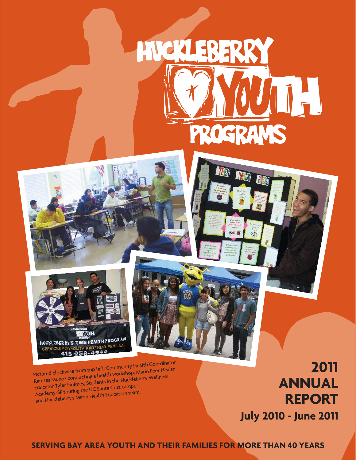

**TVE MY** 





Pictured clockwise from top left: Community Health Coordinator Ramses Munoz conducting a health workshop; Marin Peer Health Educator Tyler Holmes; Students in the Huckleberry Wellness Academy-SF touring the UC Santa Cruz campus; and Huckleberry's Marin Health Education team.

# **2011 ANNUAL REPORT**

**July 2010 - June 2011**

**SERVING BAY AREA YOUTH AND THEIR FAMILIES FOR MORE THAN 40 YEARS**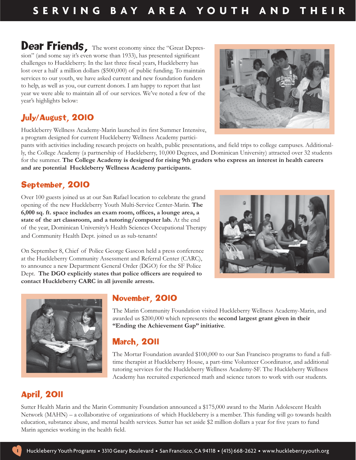Dear Friends, The worst economy since the "Great Depression" (and some say it's even worse than 1933), has presented significant challenges to Huckleberry. In the last three fiscal years, Huckleberry has lost over a half a million dollars (\$500,000) of public funding. To maintain services to our youth, we have asked current and new foundation funders to help, as well as you, our current donors. I am happy to report that last year we were able to maintain all of our services. We've noted a few of the year's highlights below:

# July/August, 2010

Huckleberry Wellness Academy-Marin launched its first Summer Intensive, a program designed for current Huckleberry Wellness Academy partici-

pants with activities including research projects on health, public presentations, and field trips to college campuses. Additionally, the College Academy (a partnership of Huckleberry, 10,000 Degrees, and Dominican University) attracted over 32 students for the summer. **The College Academy is designed for rising 9th graders who express an interest in health careers and are potential Huckleberry Wellness Academy participants.**

## September, 2010

Over 100 guests joined us at our San Rafael location to celebrate the grand opening of the new Huckleberry Youth Multi-Service Center-Marin. **The**  6,000 sq. ft. space includes an exam room, offices, a lounge area, a **state of the art classroom, and a tutoring/computer lab.** At the end of the year, Dominican University's Health Sciences Occupational Therapy and Community Health Dept. joined us as sub-tenants!

On September 8, Chief of Police George Gascon held a press conference at the Huckleberry Community Assessment and Referral Center (CARC), to announce a new Department General Order (DGO) for the SF Police Dept. The DGO explicitly states that police officers are required to **contact Huckleberry CARC in all juvenile arrests.** 

## November, 2010

The Marin Community Foundation visited Huckleberry Wellness Academy-Marin, and awarded us \$200,000 which represents the **second largest grant given in their "Ending the Achievement Gap" initiative**.

## March, 2011

The Mortar Foundation awarded \$100,000 to our San Francisco programs to fund a fulltime therapist at Huckleberry House, a part-time Volunteer Coordinator, and additional tutoring services for the Huckleberry Wellness Academy-SF. The Huckleberry Wellness Academy has recruited experienced math and science tutors to work with our students.

# April, 2011

Sutter Health Marin and the Marin Community Foundation announced a \$175,000 award to the Marin Adolescent Health Network (MAHN) – a collaborative of organizations of which Huckleberry is a member. This funding will go towards health education, substance abuse, and mental health services. Sutter has set aside \$2 million dollars a year for five years to fund Marin agencies working in the health field.







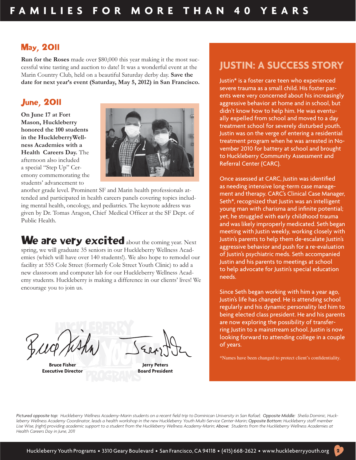## May, 2011

**Run for the Roses** made over \$80,000 this year making it the most successful wine tasting and auction to date! It was a wonderful event at the Marin Country Club, held on a beautiful Saturday derby day. **Save the date for next year's event (Saturday, May 5, 2012) in San Francisco.**

## June, 2011

**On June 17 at Fort Mason, Huckleberry honored the 100 students in the HuckleberryWellness Academies with a Health Careers Day.** The afternoon also included a special "Step Up" Ceremony commemorating the students' advancement to



another grade level. Prominent SF and Marin health professionals attended and participated in health careers panels covering topics including mental health, oncology, and pediatrics. The keynote address was given by Dr. Tomas Aragon, Chief Medical Officer at the SF Dept. of Public Health.

We are very excited about the coming year. Next spring, we will graduate 35 seniors in our Huckleberry Wellness Academies (which will have over 140 students!). We also hope to remodel our facility at 555 Cole Street (formerly Cole Street Youth Clinic) to add a new classroom and computer lab for our Huckleberry Wellness Academy students. Huckleberry is making a difference in our clients' lives! We encourage you to join us.

**Bruce Fisher Executive Director**

**Jerry Peters Board President**

# **JUSTIN: A SUCCESS STORY**

Justin\* is a foster care teen who experienced severe trauma as a small child. His foster parents were very concerned about his increasingly aggressive behavior at home and in school, but didn't know how to help him. He was eventually expelled from school and moved to a day treatment school for severely disturbed youth. Justin was on the verge of entering a residential treatment program when he was arrested in November 2010 for battery at school and brought to Huckleberry Community Assessment and Referral Center (CARC).

Once assessed at CARC, Justin was identified as needing intensive long-term case management and therapy. CARC's Clinical Case Manager, Seth\*, recognized that Justin was an intelligent young man with charisma and infinite potential; yet, he struggled with early childhood trauma and was likely improperly medicated. Seth began meeting with Justin weekly, working closely with Justin's parents to help them de-escalate Justin's aggressive behavior and push for a re-evaluation of Justin's psychiatric meds. Seth accompanied Justin and his parents to meetings at school to help advocate for Justin's special education needs.

Since Seth began working with him a year ago, Justin's life has changed. He is attending school regularly and his dynamic personality led him to being elected class president. He and his parents are now exploring the possibility of transferring Justin to a mainstream school. Justin is now looking forward to attending college in a couple of years.

\*Names have been changed to protect client's confidentiality.

2

Pictured opposite top: Huckleberry Wellness Academy-Marin students on a recent field trip to Dominican University in San Rafael; Opposite Middle: Sheila Dominic, Huckleberry Wellness Academy Coordinator, leads a health workshop in the new Huckleberry Youth Multi-Service Center-Marin; Opposite Bottom: Huckleberry staff member Lise Wise, (right) providing academic support to a student from the Huckleberry Wellness Academy-Marin; Above: Students from the Huckleberry Wellness Academies at *Health Careers Day in June, 2011*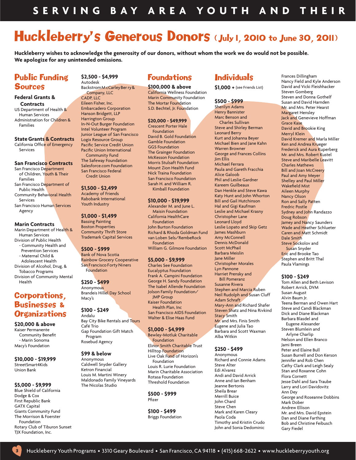# Huckleberry's Generous Donors (July 1, 2010 to June 30, 2011)

**Huckleberry wishes to acknowledge the generosity of our donors, without whom the work we do would not be possible. We apologize for any unintended omissions.**

> **\$100,000 & above** California Wellness Foundation Marin Community Foundation The Mortar Foundation S.D. Bechtel, Jr. Foundation

**\$20,000 - \$49,999** Crescent Porter Hale Foundation David B. Gold Foundation Gamble Foundation GGS Foundation The Grainger Foundation McKesson Foundation Morris Stulsaft Foundation Mount Zion Health Fund Nick Traina Foundation San Francisco Foundation Sarah H. and William R. Kimball Foundation

**\$10,000 - \$19,999** Alexander M. and June L. Maisin Foundation California HealthCare Foundation John Burton Foundation Richard & Rhoda Goldman Fund van Loben Sels/RembeRock

Foundation

**\$5,000 - \$9,999** Charles See Foundation Eucalyptus Foundation Frank A. Campini Foundation George H. Sandy Foundation The Isabel Allende Foundation Jolson Family Foundation/ JMP Group Kaiser Foundation Health Plan, Inc San Francisco AIDS Foundation Walter & Elise Haas Fund

**\$1,000 - \$4,999** Bewley-Motluk Charitable Foundation

Elinor Smith Charitable Trust Hilltop Foundation Live Oak Fund of Horizon's Foundation Louis R. Lurie Foundation Marin Charitable Association Rotasa Foundation Threshold Foundation

William G. Gilmore Foundation

## Public Funding **Sources**

### **Federal Grants & Contracts**

US Department of Health & Human Services Administration for Children & Families

### **State Grants & Contracts**

California Office of Emergency Services

### **San Francisco Contracts**

San Francisco Department of Children, Youth & Their Families San Francisco Department of Public Health Community Behavioral Health Services San Francisco Human Services Agency

### **Marin Contracts**

Marin Department of Health & Human Services Division of Public Health - Community Health and Prevention Services - Maternal Child & Adolescent Health Division of Alcohol, Drug, & Tobacco Programs Division of Community Mental Health

## Corporations, Businesses & **Organizations**

**\$20,000 & above** Kaiser Permanente **Community Benefit**  - Marin Sonoma Macy's Foundation

**\$10,000 - \$19,999** StreetSmart4Kids Union Bank

### **\$5,000 - \$9,999**

3

Blue Shield of California Dodge & Cox First Republic Bank GATX Capital Giants Community Fund The Morrison & Foerster Foundation Rotary Club of Tiburon Sunset TJX Foundation, Inc.

## **\$2,500 - \$4,999**

Autodesk Backstrom M cCarley Ber ry & Company, LLC CADP IIC Eileen Fisher, Inc. Embarcadero Corporation Hanson Bridgett, LLP Harrington Group In-N-Out Burger Foundation Intel Volunteer Program Junior League of San Francisco Logix Resource Group Pacific Service Credit Union Pacific Union International Community Fund The Safeway Foundation Salesforce.com Foundation San Francisco Federal Credit Union

**\$1,500 - \$2,499**

Academy of Friends Rabobank International Youth Industry

### **\$1,000 - \$1,499**

Bassing Painting Boston Properties Community Thrift Store Trademark Capital Services

### **\$500 - \$999**

Bank of Nova Scotia Rainbow Grocery Cooperative San Francisco Forty Niners Foundation

### **\$250 - \$499** Anonymous Brandeis Hillel Day School Macy's

**\$100 - \$249** Andalu Bay City Bike Rentals and Tours Café Trio Gap Foundation Gift Match Program Rosebud Agency

#### **\$99 & below** Anonymous

Caldwell Snyder Gallery Ketron Financial Louis M. Martini Winery Maldonado Family Vineyards The Nicolas Studio

### **\$500 - \$999** Pfizer

**\$100 - \$499** Briggs Foundation

#### Foundations **Individuals**

**\$1,000 +** (see Friends List)

**\$500 - \$999** Sherilyn Adams Henry Bannister Marc Benson and Charles Sullivan Steve and Shirley Berman Leonard Berry Kurt and Johanna Beyer Michael Bien and Jane Kahn Warren Browner George and Frances Collins Jim Ellis Michael Ferrara Paula and Gareth Fracchia Alice Galoob Phil and Leslie Gardner Kareem Guilbeaux Dan Henkle and Steve Kawa Katy Hunt and John Whorton Bill and Gail Hutchinson Hal and Gigi Kaufman Leslie and Michael Krasny Christopher Lane Leonard Lloyd Leslie Lopato and Skip Getz James Mashburn Amy McConnell Dennis McDonald Scott McPhail Barbara Meislin Jane Miller Christopher Morales Lyn Pannone Harriet Prensky and Bill Pomeranz Susanne Rivera Stephen and Marcia Ruben Neil Rudolph and Susan Cluff Adam Schraft Mary-Ann and Richard Shafer Steven Shatz and Nina Rivkind Stacy Smith Mr. and Mrs. Finis Smith Eugene and Julia Tao Barbara and Scott Waxman Alba Witkin

### **\$250 - \$499**

Anonymous Richard and Connie Adams Steve Alter Edi Alvarez Andi and David Arrick Anne and Ian Benham Jeanne Bertonis Sheila Brear Merrill Buice John Chard Steve Chen Mark and Karen Cleary Paola Coda Timothy and Kristin Crudo John and Sonia Dedominic

Frances Dillingham Nancy Field and Kyle Anderson David and Vicki Fleishhacker Steven Gomberg Steven and Donna Gothelf Susan and David Harnden Mr. and Mrs. Peter Hearst Margaret Hensley Jack and Genevieve Hoffman Grace Kase David and Brookie King Merryl Klein David Kremer and Marla Miller Ken and Andrea Krueger Frederick and Aura Kuperberg Mr. and Mrs. Robert Kustel Steve and Maribelle Leavitt Charles Mathews Bill and Joan McCreery Paul and Amy Meyer Shelley and Paul Miller Wakefield Mist Aileen Murphy Nancy Olson Ron and Sally Patten Fredric Postle Sydney and John Randazzo Doug Robson Jamey and Nancy Saunders Wade and Heather Schlueter Caren and Matt Schmidt Dale Smith Steve Sockolov and Susan Snyder Eric and Brooke Tao Stephen and Britt Thal Paula Vlamings

### **\$100 - \$249**

Tom Allen and Beth Levison Robert Arrick, DVM Susan August Alvin Baum Jr. Teena Berman and Owen Hart Steve and Candi Blackman Dick and Diane Blackman Barbara Blasdel and Eugene Alexander Steven Blumlein and Arlyne Charlip Nelson and Ellen Branco Jami Breen Peter and Elaine Bull Susan Burrell and Don Kerson Jennifer and Rob Chen Cathy Clark and Leigh Sealy Stan and Roxanne Cohn Flora Cornett Jesse Dahl and Sara Traube Larry and Lori Davidovitz Ann Dey George and Roseanne Dobbins Mark Dober Andrew Ellison Mr. and Mrs. David Epstein Dan and Diane Farthing Bob and Christine Feibusch Gary Fiedel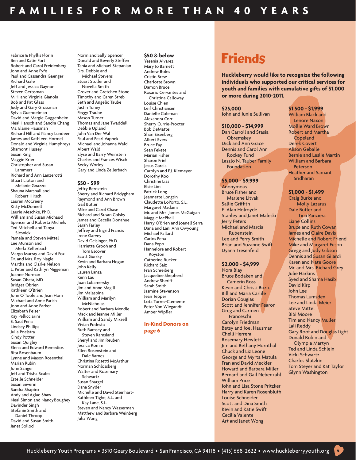Fabrice & Phyllis Florin Ben and Katie Fort Robert and Carol Freidenberg John and Anne Fyfe Paul and Cassandra Gaenger Richard Gale Jeff and Jessica Gaynor Steven Gerbsman M.H. and Virginia Gianola Bob and Pat Glass Judy and Gary Grossman Sylvia Guendelman David and Margie Guggenheim Neal Hansch and Sandra Chang Ms. Elaine Hausman Richard Hill and Nancy Lundeen James and Kathleen Hormel Donald and Virginia Humphreys Shamont Hussey Susan King Maggie Krier Christopher and Susan Lammert Richard and Ann Lanzerotti Stuart Lipton and Melanie Gnazzo Shauna Marshall and Robert Hirsch Lauren McCreery Kitty McDonnell Laurie Meschke, Ph.D. William and Susan Michaud Spencer and Roberta Michels Ted Mitchell and Tanya Slesnick Pamela and Steven Mittel Lee Munson and Merla Zellerbach Margo Murray and David Fox Dr. and Mrs. Roy Nagle Martha and Clarke Nelson L. Peter and Kathryn Niggeman Joanne Norman Susan Obata, MD Bridget Obrien Kathleen O'Brien John O'Toole and Jean Hom Michael and Anne Parish John and Anne Parker Elizabeth Peiser Kay Pellicciarini E. Saul Pena Lindsey Phillips Julia Poelstra Cindy Potter Susan Quigley Elena and Edward Remedios Rita Rosenbaum Lynne and Mason Rosenthal Marian Rubin John Sanger Jeff and Trisha Scales Estelle Schneider Susan Severin Sandra Shapiro Andy and Aglae Shaw Neal Simon and Nancy Boughey Davinder Singh Stefanie Smith and Daniel Throop David and Susan Smith

Janet Sollod

Norm and Sally Spencer Donald and Beverly Steffen Tania and Michael Stepanian Drs. Debbie and Michael Stevens Stuart Stoller and Novella Smith Grover and Gretchen Stone Timothy and Caren Streb Seth and Angelic Taube Justin Toney Peggy Traube Mason Turner Thomas and Jane Twaddell Debbie Upland John Van Der Wal Paul and Pearl Vapnek Michael and Johanna Wald Albert Wald Elyse and Barry Weinstein Charles and Frances Wisch Becky Worley

Gary and Linda Zellerbach

### **\$50 - \$99**

Jeffry Bernstein Sherry and Richard Bridygham Raymond and Ann Brown Gail Butler Mike and Carol Chase Richard and Susan Colsky James and Cecelia Donahue Sarah Farley Jeffrey and Ingrid Francis Irene Garvey David Geisinger, Ph.D. Harriette Grooh and Tom Escover Scott Gursky Kevin and Barbara Hogan John Kelly Lauren Lanza Kenn Lau Joan Lubamersky Jim and Anne Magill Jim Malaspina William and Marilyn **McNicholas** Robert and Barbara Mendle Mack and Jeanne Miller William and Sandy Mixsell Vivian Podesta Ruth Ramsey and Steven Ramsland Sheryl and Jim Reuben Jessica Romm Ellen Rosenstein and Dale Barnes Christina Rosetti McArthur Norman Schlossberg Walter and Rosemary Schwartz Susan Shargel Dana Snyder Michelle and David Steinhart-Kathleen Tighe, S.L. and Kay Lane, S.L. Steven and Nancy Wasserman Matthew and Barbara Weinberg Julia Wong

### **\$50 & below**

Yesenia Alvarez Mary Jo Barnett Andrew Boles Cristin Brew Charlotte Brown Damon Bruce Rosario Cervantes and Christina Calloway Louise Chien Leif Christiansen Danielle Coleman Alexandra Corr Sherry Currie-Procter Bob DeMattei Shari Eisenberg Albert Evers Bruce Fay Sean Fekete Marian Fisher Sharon Friel Jesus Garcia Carolyn and F.J. Klemeyer Dorothy Koo Christine Lias Elsie Lim Patrick Long Jeannette Longtin Claudette LoPorto, S.L. Margaret Madams Mr. and Mrs. James McGuigan Maggie McPhail Harry O'Brien and Joanell Serra Dana and Lani Ann Owyoung Michael Pallard Carlos Pena Dana Pepp Hannelore and Robert Royston Catherine Rucker Richard Saiz Fran Schreiberg Jacqueline Shepherd Andrew Sheriff Sarah Smith Jasmine Stevenson Jean Tepper Lota Torres-Clemente Peter Von Wiegandt Amber Wipfler

### **In-Kind Donors on page 6**

# Friends

**Huckleberry would like to recognize the following individuals who supported our critical services for youth and families with cumulative gifts of \$1,000 or more during 2010-2011.**

### **\$25,000**

John and Junie Sullivan

### **\$10,000 - \$14,999**

Dan Carroll and Stasia **Obremskey** Dick and Ann Grace Dennis and Carol Ann Rockey Fund Laszlo N. Tauber Family Foundation

### **\$5,000 - \$9,999**

Anonymous Bruce Fisher and Marlene Litvak Sallie Griffith E. Alan Holroyde Stanley and Janet Maleski Jerry Peters Michael and Marcia Rubenstein Lee and Perry Smith Brian and Suzanne Swift Dyann Tresenfeld

### **\$2,000 - \$4,999**

Nora Blay Bruce Bodaken and Camerin Ross Kevin and Christi Bozic Bill and Maria Carlile Dorian Cougias Scott and Jennifer Fearon Greg and Carmen Franceschi Carolyn Friedman Betsy and Joel Hausman Chelli Herrera Rosemary Hewlett Jim and Bethany Hornthal Chuck and Liz Leone George and Myrta Matula Fran and David Meckler Howard and Barbara Miller Bernard and Gail Nebenzahl William Price John and Lisa Stone Pritzker Harry and Karen Rosenbluth Louise Schneider Scott and Dina Smith Kevin and Katie Swift Cecilia Valente Art and Janet Wong

## **\$1,500 - \$1,999**

William Black and Lenore Naxon Mollie Ward Brown Robert and Martha **Copeland** Derek Covert Alison Geballe Bernie and Leslie Martin William and Barbara Peterson Heather and Samant Sridharan

### **\$1,000 - \$1,499**

Craig Burke and Molly Lazarus Dale Butler and Tina Panziera Liane Collins Bruce and Ruth Cowan James and Claire Davis Michelle and Robert Friend Mike and Margaret Fuson Gregg and Judy Gibson Dennis and Susan Gilardi Karen and Nate Goore Mr. and Mrs. Richard Grey Julie Harkins Syed and Shama Hasib David Kirp John Lee Thomas Lumsden Lee and Linda Meier Steve Mittel Bibi Moore Tim and Nancy Muller Lali Reddy Gary Roof and Douglas Light Donald Rubin and Olympia Martyn Ted and Linda Schlein Vicki Schwartz Charles Slutzkin Tom Steyer and Kat Taylor Glynn Washington

4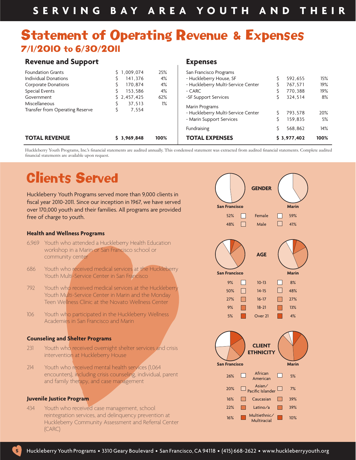# Statement of Operating Revenue & Expenses 7/1/2010 to 6/30/2011

## **Revenue and Support**

| <b>TOTAL REVENUE</b>            | \$3,969,848  | 100%  | το   |
|---------------------------------|--------------|-------|------|
|                                 |              |       | Fun  |
|                                 |              |       | - Mi |
| Transfer from Operating Reserve | 7.554        |       | - Hu |
| Miscellaneous                   | 37,513       | $1\%$ | Mar  |
| Government                      | \$2,457,425  | 62%   | -SF  |
| Special Events                  | 153,586      | 4%    | - CA |
| <b>Corporate Donations</b>      | 170.874<br>Ŝ | 4%    | - Hu |
| Individual Donations            | 141,376      | 4%    | - Hu |
| <b>Foundation Grants</b>        | \$1,009,074  | 25%   | San  |
|                                 |              |       |      |

### **Expenses**

| San Francisco Programs                                                           |        |                    |           |
|----------------------------------------------------------------------------------|--------|--------------------|-----------|
| - Huckleberry House, SF                                                          | \$     | 592,655            | 15%       |
| - Huckleberry Multi-Service Center                                               | \$     | 767,571            | 19%       |
| - CARC                                                                           | \$     | 770,388            | 19%       |
| -SF Support Services                                                             | Ś      | 324,514            | 8%        |
| Marin Programs<br>- Huckleberry Multi-Service Center<br>- Marin Support Services | Ś<br>Ś | 793.578<br>159.835 | 20%<br>5% |
| Fundraising                                                                      | Ŝ      | 568.862            | 14%       |
| <b>TOTAL EXPENSES</b>                                                            |        | \$3,977,402        | 100%      |

Huckleberry Youth Programs, Inc.'s financial statements are audited annually. This condensed statement was extracted from audited financial statements. Complete audited financial statements are available upon request.

# Clients Served

Huckleberry Youth Programs served more than 9,000 clients in fiscal year 2010-2011. Since our inception in 1967, we have served over 170,000 youth and their families. All programs are provided free of charge to youth.

## **Health and Wellness Programs**

- 6,969 Youth who attended a Huckleberry Health Education workshop in a Marin or San Francisco school or community center
- 686 Youth who received medical services at the Huckleberry Youth Multi-Service Center in San Francisco
- 792 Youth who received medical services at the Huckleberry Youth Multi-Service Center in Marin and the Monday Teen Wellness Clinic at the Novato Wellness Center
- 106 Youth who participated in the Huckleberry Wellness Academies in San Francisco and Marin

### **Counseling and Shelter Programs**

- 231 Youth who received overnight shelter services and crisis intervention at Huckleberry House
- 214 Youth who received mental health services (1,064 encounters), including crisis counseling, individual, parent and family therapy, and case management

### **Juvenile Justice Program**

434 Youth who received case management, school reintegration services, and delinquency prevention at Huckleberry Community Assessment and Referral Center (CARC)



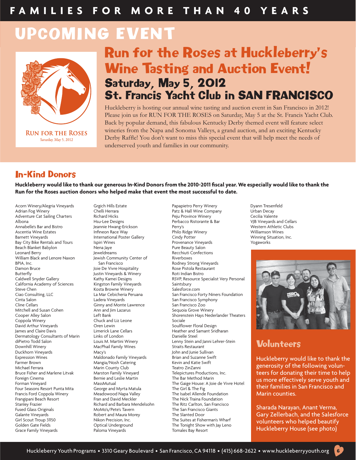# UPCOMING EVENT



# Run for the Roses at Huckleberry's Wine Tasting and Auction Event! Saturday, May 5, 2012 St. Francis Yacht Club in SAN FRANCISCO

Huckleberry is hosting our annual wine tasting and auction event in San Francisco in 2012! Please join us for RUN FOR THE ROSES on Saturday, May 5 at the St. Francis Yacht Club. Back by popular demand, this fabulous Kentucky Derby themed event will feature select wineries from the Napa and Sonoma Valleys, a grand auction, and an exciting Kentucky Derby Raffle! You don't want to miss this special event that will help meet the needs of underserved youth and families in our community.

## In-Kind Donors

Huckleberry would like to thank our generous In-Kind Donors from the 2010-2011 fiscal year. We especially would like to thank the **Run for the Roses auction donors who helped make that event the most successful to date.** 

Ascentia Wine Estates Bay City Bike Rentals and Tours Beach Blanket Babylon Nena Jaye Pure Beauty Salon Leonard Berry Jeweldreams Recchiuti Confections BPIA, Inc. San Francisco Rodney Strong Vineyards Damon Bruce **Joie De Vivre Hospitality** Joie De Vivre Hospitality Ruthern Bruce Pistola Restaurant Restaurant Re<br> **Pistola Restaurant Restaurant Restaurant Restaurant Restaurant Restaurant Restaurant Restaurant Restaurant** Butterfl y Justin Vineyards & Winery Roti Indian Bistro California Academy of Sciences Kingston Family Vineyards<br>Steve Chen Steve Chen Kosta Browne Winery Salesforce.com Steve Chen Kosta Browne Winery<br>Ciao Consulting, LLC Chenness Camera La Mar Cebicheria Peruana Cline Cellars Ginny and Monte Lawrence San Francisco Zoo Mitchell and Susan Cohen Ann and Jim Lagarus Cooper Alley Salon David Arthur Vineyards Oren Lewin Soulfl ower Floral Design Dermatology Consultants of Marin Links of London Danielle Steel<br>diPietro Todd Salon Danielle Stein ar Louis M. Martini Winery Lenny Stein ar diPietro Todd Salon Louis M. Martini Winery Lenny Stein and Janni Lehrer-Stein Duckhorn Vineyards Macy's John and Junie Sullivan Farmer Brown Mangia/Nosh Catering Kevin and Katie Swift Bruce Fisher and Marlene Litvak Foreign Cinema Bernie and Leslie Martin The Bar Method Marin Four Seasons Resort Punta Mita George and Myrta Matula The Girl & The Fig Francis Ford Coppola Winery Meadowood Napa Valley The Isabel Allende Foundation Frangipani Beach Resort<br>Stanley Frazier Stanley Frazier Frazier Frazier Richard and Barbara Mendelsohn The Ritz Carlton, San Francisco<br>Fused Glass Originals Francisco Giants Galante Vineyards **Robert and Maura Morey** Robert and Maura Morey Girl Scout Troup 31150 Nikon Precision, Inc. The Suites at Fisherman's Wharf Golden Gate Fields Optical Underground The Tonight Show with Jay Leno Grace Family Vineyards

Jewish Community Center of Ladera Vineyards San Francisco Symphony Chuck and Liz Leone MacPhail Family Wines<br>Macy's Expression Wines Maldonado Family Vineyards Brian and Suzanne Swift Marin County Club<br>Marston Family Vineyard Telepictures Productions, Inc.

Acorn Winery/Alegria Vineyards Grgich Hills Estate Papapietro Perry Winery Papapietro Perry Winery Dyann Tresenfeld<br>Adrian Fog Winery Adress Chelli Herrara Papapietro Patz & Hall Wine Company Urban Decay Adrian Fog Winery Chelli Herrara Patz & Hall Wine Company Urban Decay Adventure Cat Sailing Charters Richard Hicks Peju Province Winery Cecilia Valente<br>Albona Perbacco Ristorante & Bar Pelars VIB Vineyards and Cellars Albona Hsu-Lee Designs Perbacco Ristorante & Bar VJB Vineyards and Cellars Annabelle's Bar and Bistro Jeannie Hwang-Erickson Perry's Western Athletic Clubs Barnett Vineyards International Poster Gallery Cindy Potter Cindy Potter Mineyards Munning Situation, Inc.<br>
Bay City Bike Rentals and Tours Ispiri Wines Shows and Provenance Vineyards City Bike Rentals and Tours Ispiri Kathy Kamei Designs<br>
Kingston Family Vineyards<br>
Saintsbury Cantist Very Personal Ciao Consulting, LLC La Mar Cebicheria Peruana San Francisco Forty Niners Foundation Cooper Alley Salon Left Bank Shorenstein Hays Nederlander Theaters Heather and Samant Sridharan MassMutual MassMutual The Gaige House: A Joie de Vivre Hotel<br>George and Myrta Matula The Girl & The Fig The San Francisco Giants<br>The Slanted Door



# **Volunteers**

Huckleberry would like to thank the generosity of the following volunteers for donating their time to help us more effectively serve youth and their families in San Francisco and Marin counties.

Sharada Narayan, Anant Verma, Gary Zellerbach, and the Salesforce volunteers who helped beautify Huckleberry House (see photo)

6